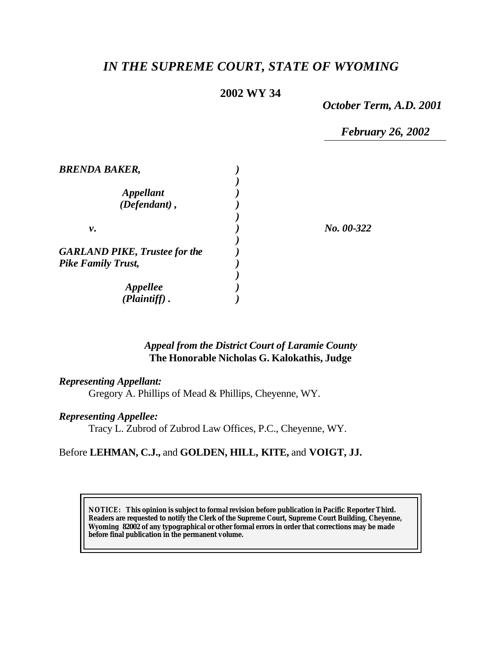# *IN THE SUPREME COURT, STATE OF WYOMING*

## **2002 WY 34**

*October Term, A.D. 2001*

*February 26, 2002*

| <b>BRENDA BAKER,</b>                 |            |
|--------------------------------------|------------|
|                                      |            |
| <i><b>Appellant</b></i>              |            |
| $(Defendant)$ ,                      |            |
|                                      |            |
| ν.                                   | No. 00-322 |
|                                      |            |
| <b>GARLAND PIKE, Trustee for the</b> |            |
| <b>Pike Family Trust,</b>            |            |
|                                      |            |
| <b>Appellee</b>                      |            |
| (Plaintiff).                         |            |

### *Appeal from the District Court of Laramie County* **The Honorable Nicholas G. Kalokathis, Judge**

#### *Representing Appellant:*

Gregory A. Phillips of Mead & Phillips, Cheyenne, WY.

### *Representing Appellee:*

Tracy L. Zubrod of Zubrod Law Offices, P.C., Cheyenne, WY.

#### Before **LEHMAN, C.J.,** and **GOLDEN, HILL, KITE,** and **VOIGT, JJ.**

**NOTICE:** *This opinion is subject to formal revision before publication in Pacific Reporter Third. Readers are requested to notify the Clerk of the Supreme Court, Supreme Court Building, Cheyenne, Wyoming 82002 of any typographical or other formal errors in order that corrections may be made before final publication in the permanent volume.*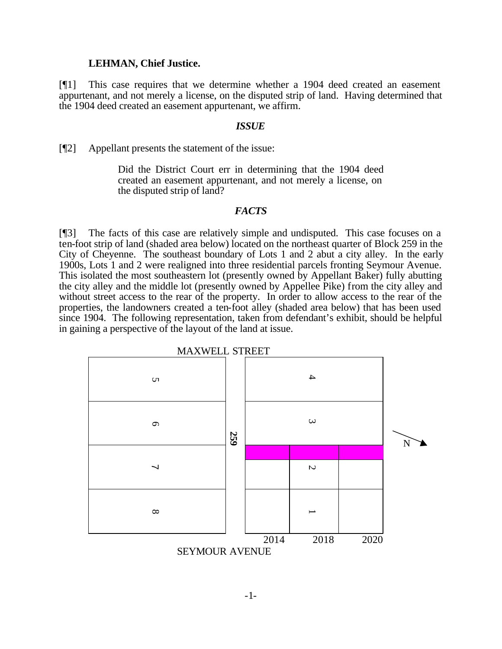#### **LEHMAN, Chief Justice.**

[¶1] This case requires that we determine whether a 1904 deed created an easement appurtenant, and not merely a license, on the disputed strip of land. Having determined that the 1904 deed created an easement appurtenant, we affirm.

#### *ISSUE*

[¶2] Appellant presents the statement of the issue:

Did the District Court err in determining that the 1904 deed created an easement appurtenant, and not merely a license, on the disputed strip of land?

#### *FACTS*

[¶3] The facts of this case are relatively simple and undisputed. This case focuses on a ten-foot strip of land (shaded area below) located on the northeast quarter of Block 259 in the City of Cheyenne. The southeast boundary of Lots 1 and 2 abut a city alley. In the early 1900s, Lots 1 and 2 were realigned into three residential parcels fronting Seymour Avenue. This isolated the most southeastern lot (presently owned by Appellant Baker) fully abutting the city alley and the middle lot (presently owned by Appellee Pike) from the city alley and without street access to the rear of the property. In order to allow access to the rear of the properties, the landowners created a ten-foot alley (shaded area below) that has been used since 1904. The following representation, taken from defendant's exhibit, should be helpful in gaining a perspective of the layout of the land at issue.

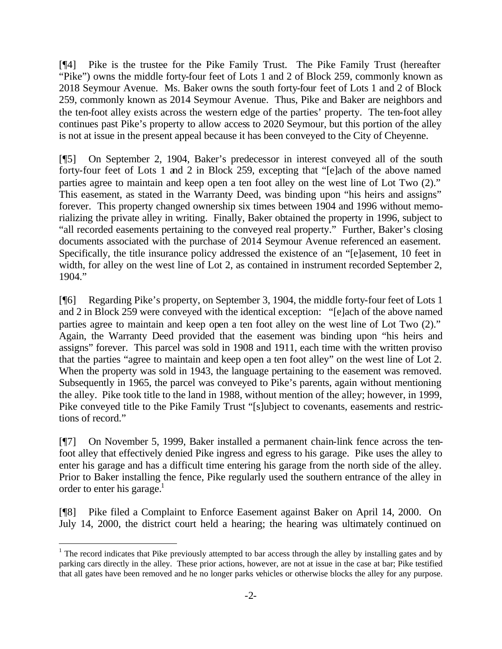[¶4] Pike is the trustee for the Pike Family Trust. The Pike Family Trust (hereafter "Pike") owns the middle forty-four feet of Lots 1 and 2 of Block 259, commonly known as 2018 Seymour Avenue. Ms. Baker owns the south forty-four feet of Lots 1 and 2 of Block 259, commonly known as 2014 Seymour Avenue. Thus, Pike and Baker are neighbors and the ten-foot alley exists across the western edge of the parties' property. The ten-foot alley continues past Pike's property to allow access to 2020 Seymour, but this portion of the alley is not at issue in the present appeal because it has been conveyed to the City of Cheyenne.

[¶5] On September 2, 1904, Baker's predecessor in interest conveyed all of the south forty-four feet of Lots 1 and 2 in Block 259, excepting that "[e]ach of the above named parties agree to maintain and keep open a ten foot alley on the west line of Lot Two (2)." This easement, as stated in the Warranty Deed, was binding upon "his heirs and assigns" forever. This property changed ownership six times between 1904 and 1996 without memorializing the private alley in writing. Finally, Baker obtained the property in 1996, subject to "all recorded easements pertaining to the conveyed real property." Further, Baker's closing documents associated with the purchase of 2014 Seymour Avenue referenced an easement. Specifically, the title insurance policy addressed the existence of an "[e]asement, 10 feet in width, for alley on the west line of Lot 2, as contained in instrument recorded September 2, 1904."

[¶6] Regarding Pike's property, on September 3, 1904, the middle forty-four feet of Lots 1 and 2 in Block 259 were conveyed with the identical exception: "[e]ach of the above named parties agree to maintain and keep open a ten foot alley on the west line of Lot Two (2)." Again, the Warranty Deed provided that the easement was binding upon "his heirs and assigns" forever. This parcel was sold in 1908 and 1911, each time with the written proviso that the parties "agree to maintain and keep open a ten foot alley" on the west line of Lot 2. When the property was sold in 1943, the language pertaining to the easement was removed. Subsequently in 1965, the parcel was conveyed to Pike's parents, again without mentioning the alley. Pike took title to the land in 1988, without mention of the alley; however, in 1999, Pike conveyed title to the Pike Family Trust "[s]ubject to covenants, easements and restrictions of record."

[¶7] On November 5, 1999, Baker installed a permanent chain-link fence across the tenfoot alley that effectively denied Pike ingress and egress to his garage. Pike uses the alley to enter his garage and has a difficult time entering his garage from the north side of the alley. Prior to Baker installing the fence, Pike regularly used the southern entrance of the alley in order to enter his garage.<sup>1</sup>

[¶8] Pike filed a Complaint to Enforce Easement against Baker on April 14, 2000. On July 14, 2000, the district court held a hearing; the hearing was ultimately continued on

l

 $1$  The record indicates that Pike previously attempted to bar access through the alley by installing gates and by parking cars directly in the alley. These prior actions, however, are not at issue in the case at bar; Pike testified that all gates have been removed and he no longer parks vehicles or otherwise blocks the alley for any purpose.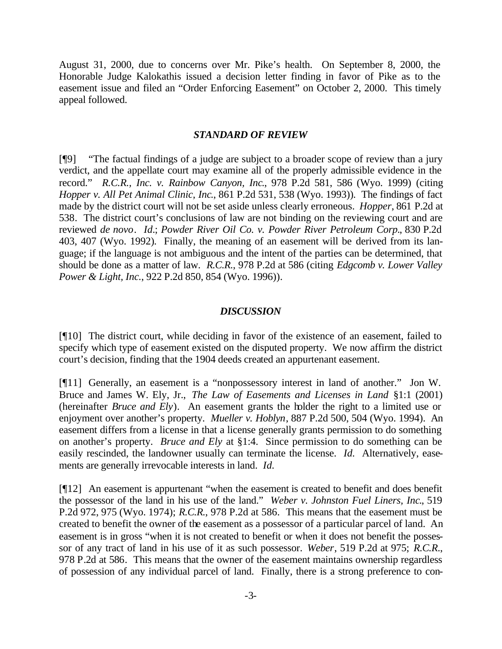August 31, 2000, due to concerns over Mr. Pike's health. On September 8, 2000, the Honorable Judge Kalokathis issued a decision letter finding in favor of Pike as to the easement issue and filed an "Order Enforcing Easement" on October 2, 2000. This timely appeal followed.

#### *STANDARD OF REVIEW*

[¶9] "The factual findings of a judge are subject to a broader scope of review than a jury verdict, and the appellate court may examine all of the properly admissible evidence in the record." *R.C.R., Inc. v. Rainbow Canyon, Inc*., 978 P.2d 581, 586 (Wyo. 1999) (citing *Hopper v. All Pet Animal Clinic, Inc*., 861 P.2d 531, 538 (Wyo. 1993))*.* The findings of fact made by the district court will not be set aside unless clearly erroneous. *Hopper*, 861 P.2d at 538*.* The district court's conclusions of law are not binding on the reviewing court and are reviewed *de novo*. *Id.*; *Powder River Oil Co. v. Powder River Petroleum Corp.*, 830 P.2d 403, 407 (Wyo. 1992)*.* Finally, the meaning of an easement will be derived from its language; if the language is not ambiguous and the intent of the parties can be determined, that should be done as a matter of law. *R.C.R.*, 978 P.2d at 586 (citing *Edgcomb v. Lower Valley Power & Light, Inc.*, 922 P.2d 850, 854 (Wyo. 1996)).

#### *DISCUSSION*

[¶10] The district court, while deciding in favor of the existence of an easement, failed to specify which type of easement existed on the disputed property. We now affirm the district court's decision, finding that the 1904 deeds created an appurtenant easement.

[¶11] Generally, an easement is a "nonpossessory interest in land of another." Jon W. Bruce and James W. Ely, Jr., *The Law of Easements and Licenses in Land* §1:1 (2001) (hereinafter *Bruce and Ely*). An easement grants the holder the right to a limited use or enjoyment over another's property. *Mueller v. Hoblyn*, 887 P.2d 500, 504 (Wyo. 1994). An easement differs from a license in that a license generally grants permission to do something on another's property. *Bruce and Ely* at §1:4. Since permission to do something can be easily rescinded, the landowner usually can terminate the license. *Id.* Alternatively, easements are generally irrevocable interests in land. *Id.*

[¶12] An easement is appurtenant "when the easement is created to benefit and does benefit the possessor of the land in his use of the land." *Weber v. Johnston Fuel Liners, Inc*., 519 P.2d 972, 975 (Wyo. 1974); *R.C.R.*, 978 P.2d at 586. This means that the easement must be created to benefit the owner of the easement as a possessor of a particular parcel of land. An easement is in gross "when it is not created to benefit or when it does not benefit the possessor of any tract of land in his use of it as such possessor. *Weber*, 519 P.2d at 975; *R.C.R*., 978 P.2d at 586. This means that the owner of the easement maintains ownership regardless of possession of any individual parcel of land. Finally, there is a strong preference to con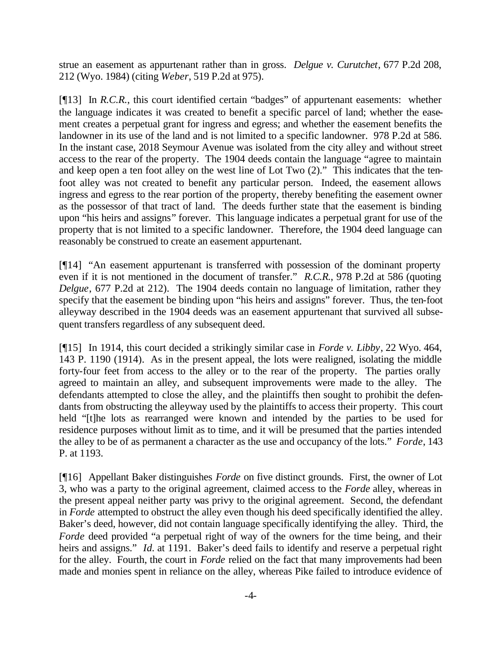strue an easement as appurtenant rather than in gross. *Delgue v. Curutchet*, 677 P.2d 208, 212 (Wyo. 1984) (citing *Weber*, 519 P.2d at 975).

[¶13] In *R.C.R.*, this court identified certain "badges" of appurtenant easements: whether the language indicates it was created to benefit a specific parcel of land; whether the easement creates a perpetual grant for ingress and egress; and whether the easement benefits the landowner in its use of the land and is not limited to a specific landowner. 978 P.2d at 586. In the instant case, 2018 Seymour Avenue was isolated from the city alley and without street access to the rear of the property. The 1904 deeds contain the language "agree to maintain and keep open a ten foot alley on the west line of Lot Two (2)." This indicates that the tenfoot alley was not created to benefit any particular person. Indeed, the easement allows ingress and egress to the rear portion of the property, thereby benefiting the easement owner as the possessor of that tract of land. The deeds further state that the easement is binding upon "his heirs and assigns" forever. This language indicates a perpetual grant for use of the property that is not limited to a specific landowner. Therefore, the 1904 deed language can reasonably be construed to create an easement appurtenant.

[¶14] "An easement appurtenant is transferred with possession of the dominant property even if it is not mentioned in the document of transfer." *R.C.R.*, 978 P.2d at 586 (quoting *Delgue*, 677 P.2d at 212). The 1904 deeds contain no language of limitation, rather they specify that the easement be binding upon "his heirs and assigns" forever. Thus, the ten-foot alleyway described in the 1904 deeds was an easement appurtenant that survived all subsequent transfers regardless of any subsequent deed.

[¶15] In 1914, this court decided a strikingly similar case in *Forde v. Libby*, 22 Wyo. 464, 143 P. 1190 (1914). As in the present appeal, the lots were realigned, isolating the middle forty-four feet from access to the alley or to the rear of the property. The parties orally agreed to maintain an alley, and subsequent improvements were made to the alley. The defendants attempted to close the alley, and the plaintiffs then sought to prohibit the defendants from obstructing the alleyway used by the plaintiffs to access their property. This court held "[t]he lots as rearranged were known and intended by the parties to be used for residence purposes without limit as to time, and it will be presumed that the parties intended the alley to be of as permanent a character as the use and occupancy of the lots." *Forde*, 143 P. at 1193.

[¶16] Appellant Baker distinguishes *Forde* on five distinct grounds. First, the owner of Lot 3, who was a party to the original agreement, claimed access to the *Forde* alley, whereas in the present appeal neither party was privy to the original agreement. Second, the defendant in *Forde* attempted to obstruct the alley even though his deed specifically identified the alley. Baker's deed, however, did not contain language specifically identifying the alley. Third, the *Forde* deed provided "a perpetual right of way of the owners for the time being, and their heirs and assigns." *Id.* at 1191. Baker's deed fails to identify and reserve a perpetual right for the alley. Fourth, the court in *Forde* relied on the fact that many improvements had been made and monies spent in reliance on the alley, whereas Pike failed to introduce evidence of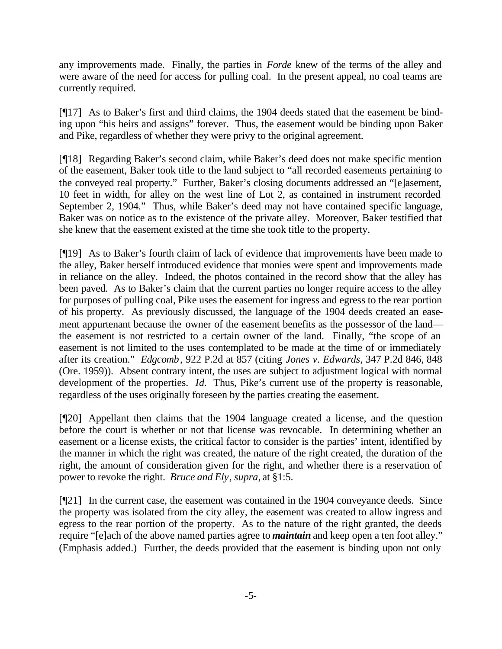any improvements made. Finally, the parties in *Forde* knew of the terms of the alley and were aware of the need for access for pulling coal. In the present appeal, no coal teams are currently required.

[¶17] As to Baker's first and third claims, the 1904 deeds stated that the easement be binding upon "his heirs and assigns" forever. Thus, the easement would be binding upon Baker and Pike, regardless of whether they were privy to the original agreement.

[¶18] Regarding Baker's second claim, while Baker's deed does not make specific mention of the easement, Baker took title to the land subject to "all recorded easements pertaining to the conveyed real property." Further, Baker's closing documents addressed an "[e]asement, 10 feet in width, for alley on the west line of Lot 2, as contained in instrument recorded September 2, 1904." Thus, while Baker's deed may not have contained specific language, Baker was on notice as to the existence of the private alley. Moreover, Baker testified that she knew that the easement existed at the time she took title to the property.

[¶19] As to Baker's fourth claim of lack of evidence that improvements have been made to the alley, Baker herself introduced evidence that monies were spent and improvements made in reliance on the alley. Indeed, the photos contained in the record show that the alley has been paved. As to Baker's claim that the current parties no longer require access to the alley for purposes of pulling coal, Pike uses the easement for ingress and egress to the rear portion of his property. As previously discussed, the language of the 1904 deeds created an easement appurtenant because the owner of the easement benefits as the possessor of the land the easement is not restricted to a certain owner of the land. Finally, "the scope of an easement is not limited to the uses contemplated to be made at the time of or immediately after its creation." *Edgcomb*, 922 P.2d at 857 (citing *Jones v. Edwards*, 347 P.2d 846, 848 (Ore. 1959)). Absent contrary intent, the uses are subject to adjustment logical with normal development of the properties. *Id.* Thus, Pike's current use of the property is reasonable, regardless of the uses originally foreseen by the parties creating the easement.

[¶20] Appellant then claims that the 1904 language created a license, and the question before the court is whether or not that license was revocable. In determining whether an easement or a license exists, the critical factor to consider is the parties' intent, identified by the manner in which the right was created, the nature of the right created, the duration of the right, the amount of consideration given for the right, and whether there is a reservation of power to revoke the right. *Bruce and Ely*, *supra*, at §1:5.

[¶21] In the current case, the easement was contained in the 1904 conveyance deeds. Since the property was isolated from the city alley, the easement was created to allow ingress and egress to the rear portion of the property. As to the nature of the right granted, the deeds require "[e]ach of the above named parties agree to *maintain* and keep open a ten foot alley." (Emphasis added.) Further, the deeds provided that the easement is binding upon not only